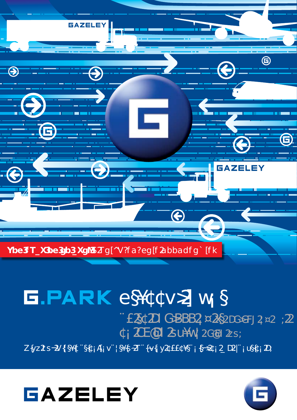

# Strood, Kent

up to 275,000 sq ft (25,548 sq m) on 13.27 acres (5.37 ha)

High bay Distribution/Industrial Building opportunity, on M2 (junction 2)



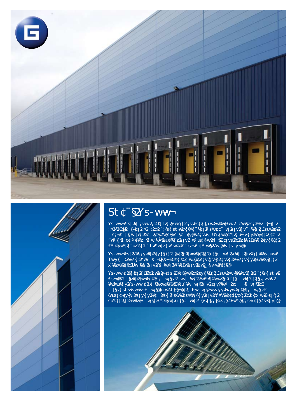



## About Gazeley

Gazeley was founded in 1987 in the UK and has since developed more than 60 million sq ft (5.6 million sq m) of sustainable distribution warehouses and industrial space for many businesses from the retail, automotive and FMCG sectors including Argos, John Lewis, Woolworths, Nestlé, Scottish and Newcastle, VW, Honda to third-party logistics providers such as TNT, Geodis, Ceva, Zufall, Norbert Dentressangle.

Gazeley has a range of logistics sites to offer to its customers across the UK, France, Belgium, Spain, Germany, Italy, China, Mexico and India and is expanding operations further into Central and Eastern Europe and the Middle East.

Gazeley's vision is: 'to be a global provider of logistics space delivered in a sustainable way'. A suite of key environmental measures are provided to customers as standard ref ecting Gazeley's cost effective procurement and long-term commitment to sustainable development. The ability to implement leading edge environmental technologies ranging from rain water harvesting and ETFE roof ights to biofuel plants across its developments provides customers with significant operational cost savings.